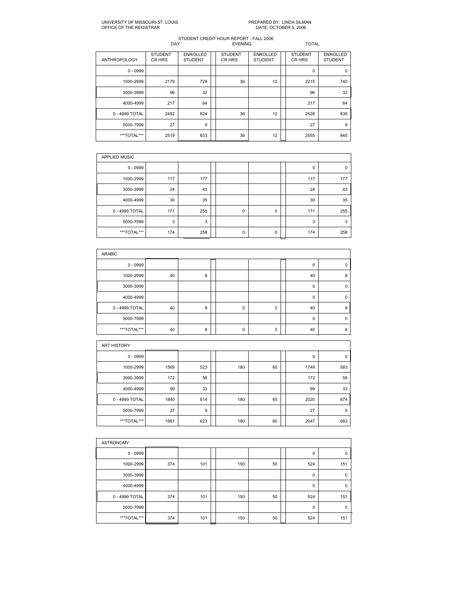## UNIVERSITY OF MISSOURIST. LOUIS PREPARED BY: LINDA SILMAN OFFICE OF THE REGISTRAR DATE: OCTOBER 5, 2006

| <b>ANTHROPOLOGY</b> | <b>STUDENT</b><br>CR HRS | <b>ENROLLED</b><br><b>STUDENT</b> | <b>STUDENT</b><br>CR HRS | <b>ENROLLED</b><br><b>STUDENT</b> | <b>STUDENT</b><br>CR HRS | <b>ENROLLED</b><br><b>STUDENT</b> |
|---------------------|--------------------------|-----------------------------------|--------------------------|-----------------------------------|--------------------------|-----------------------------------|
| $0 - 0999$          |                          |                                   |                          |                                   | 0                        | 0                                 |
| 1000-2999           | 2179                     | 728                               | 36                       | 12                                | 2215                     | 740                               |
| 3000-3999           | 96                       | 32                                |                          |                                   | 96                       | 32                                |
| 4000-4999           | 217                      | 64                                |                          |                                   | 217                      | 64                                |
| 0 - 4999 TOTAL      | 2492                     | 824                               | 36                       | 12                                | 2528                     | 836                               |
| 5000-7999           | 27                       | 9                                 |                          |                                   | 27                       | 9                                 |
| ***TOTAL***         | 2519                     | 833                               | 36                       | 12                                | 2555                     | 845                               |
|                     |                          |                                   |                          |                                   |                          |                                   |

| <b>APPLIED MUSIC</b> |     |     |  |   |   |  |     |          |  |  |  |
|----------------------|-----|-----|--|---|---|--|-----|----------|--|--|--|
| $0 - 0999$           |     |     |  |   |   |  | 0   | $\Omega$ |  |  |  |
| 1000-2999            | 117 | 177 |  |   |   |  | 117 | 177      |  |  |  |
| 3000-3999            | 24  | 43  |  |   |   |  | 24  | 43       |  |  |  |
| 4000-4999            | 30  | 35  |  |   |   |  | 30  | 35       |  |  |  |
| 0 - 4999 TOTAL       | 171 | 255 |  | 0 | 0 |  | 171 | 255      |  |  |  |
| 5000-7999            | 3   | 3   |  |   |   |  | 3   | 3        |  |  |  |
| ***TOTAL***          | 174 | 258 |  | 0 | 0 |  | 174 | 258      |  |  |  |

| ARABIC         |    |   |  |          |   |  |          |   |  |  |
|----------------|----|---|--|----------|---|--|----------|---|--|--|
| $0 - 0999$     |    |   |  |          |   |  | 0        | 0 |  |  |
| 1000-2999      | 40 | 8 |  |          |   |  | 40       | 8 |  |  |
| 3000-3999      |    |   |  |          |   |  | 0        |   |  |  |
| 4000-4999      |    |   |  |          |   |  | $\Omega$ |   |  |  |
| 0 - 4999 TOTAL | 40 | 8 |  | $\Omega$ | 0 |  | 40       | 8 |  |  |
| 5000-7999      |    |   |  |          |   |  | $\Omega$ | n |  |  |
| ***TOTAL***    | 40 | 8 |  | 0        | 0 |  | 40       | 8 |  |  |

| <b>ART HISTORY</b> |      |     |     |    |      |     |
|--------------------|------|-----|-----|----|------|-----|
| $0 - 0999$         |      |     |     |    | 0    | 0   |
| 1000-2999          | 1569 | 523 | 180 | 60 | 1749 | 583 |
| 3000-3999          | 172  | 58  |     |    | 172  | 58  |
| 4000-4999          | 99   | 33  |     |    | 99   | 33  |
| 0 - 4999 TOTAL     | 1840 | 614 | 180 | 60 | 2020 | 674 |
| 5000-7999          | 27   | 9   |     |    | 27   | 9   |
| ***TOTAL***        | 1867 | 623 | 180 | 60 | 2047 | 683 |

| <b>ASTRONOMY</b> |     |     |  |     |    |  |             |             |  |  |  |
|------------------|-----|-----|--|-----|----|--|-------------|-------------|--|--|--|
| $0 - 0999$       |     |     |  |     |    |  | 0           | $\mathbf 0$ |  |  |  |
| 1000-2999        | 374 | 101 |  | 150 | 50 |  | 524         | 151         |  |  |  |
| 3000-3999        |     |     |  |     |    |  | $\mathbf 0$ | $\mathbf 0$ |  |  |  |
| 4000-4999        |     |     |  |     |    |  | $\mathbf 0$ | $\mathbf 0$ |  |  |  |
| 0 - 4999 TOTAL   | 374 | 101 |  | 150 | 50 |  | 524         | 151         |  |  |  |
| 5000-7999        |     |     |  |     |    |  | $\mathbf 0$ | $\mathbf 0$ |  |  |  |
| ***TOTAL***      | 374 | 101 |  | 150 | 50 |  | 524         | 151         |  |  |  |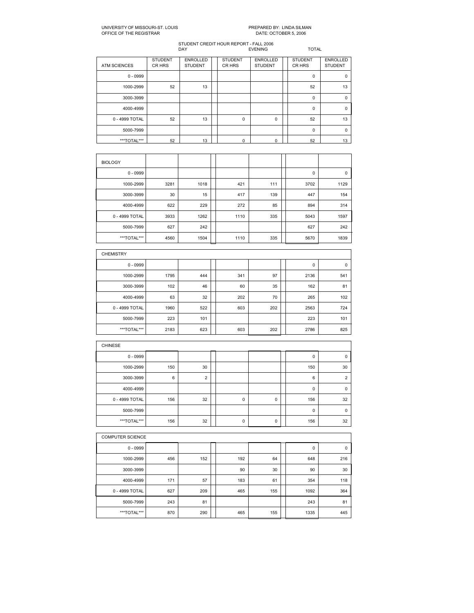### UNIVERSITY OF MISSOURIST. LOUIS PREPARED BY: LINDA SILMAN OFFICE OF THE REGISTRAR DATE: OCTOBER 5, 2006

| <b>ATM SCIENCES</b> | <b>STUDENT</b><br>CR HRS | <b>ENROLLED</b><br><b>STUDENT</b> | <b>STUDENT</b><br>CR HRS | <b>ENROLLED</b><br><b>STUDENT</b> | <b>STUDENT</b><br>CR HRS | <b>ENROLLED</b><br><b>STUDENT</b> |
|---------------------|--------------------------|-----------------------------------|--------------------------|-----------------------------------|--------------------------|-----------------------------------|
| $0 - 0999$          |                          |                                   |                          |                                   | $\mathbf 0$              | $\mathbf 0$                       |
| 1000-2999           | 52                       | 13                                |                          |                                   | 52                       | 13                                |
| 3000-3999           |                          |                                   |                          |                                   | $\Omega$                 | $\mathbf 0$                       |
| 4000-4999           |                          |                                   |                          |                                   | $\Omega$                 | 0                                 |
| 0 - 4999 TOTAL      | 52                       | 13                                | $\mathbf 0$              | 0                                 | 52                       | 13                                |
| 5000-7999           |                          |                                   |                          |                                   | $\mathbf 0$              | $\mathbf 0$                       |
| ***TOTAL***         | 52                       | 13                                | 0                        | $\Omega$                          | 52                       | 13                                |

| <b>BIOLOGY</b> |      |      |      |     |      |      |
|----------------|------|------|------|-----|------|------|
| $0 - 0999$     |      |      |      |     | 0    | 0    |
| 1000-2999      | 3281 | 1018 | 421  | 111 | 3702 | 1129 |
| 3000-3999      | 30   | 15   | 417  | 139 | 447  | 154  |
| 4000-4999      | 622  | 229  | 272  | 85  | 894  | 314  |
| 0 - 4999 TOTAL | 3933 | 1262 | 1110 | 335 | 5043 | 1597 |
| 5000-7999      | 627  | 242  |      |     | 627  | 242  |
| ***TOTAL***    | 4560 | 1504 | 1110 | 335 | 5670 | 1839 |

| <b>CHEMISTRY</b> |      |     |     |     |      |             |
|------------------|------|-----|-----|-----|------|-------------|
| $0 - 0999$       |      |     |     |     | 0    | $\mathbf 0$ |
| 1000-2999        | 1795 | 444 | 341 | 97  | 2136 | 541         |
| 3000-3999        | 102  | 46  | 60  | 35  | 162  | 81          |
| 4000-4999        | 63   | 32  | 202 | 70  | 265  | 102         |
| 0 - 4999 TOTAL   | 1960 | 522 | 603 | 202 | 2563 | 724         |
| 5000-7999        | 223  | 101 |     |     | 223  | 101         |
| ***TOTAL***      | 2183 | 623 | 603 | 202 | 2786 | 825         |

| <b>CHINESE</b> |     |                |  |   |   |  |     |                |  |  |
|----------------|-----|----------------|--|---|---|--|-----|----------------|--|--|
| $0 - 0999$     |     |                |  |   |   |  | 0   | $\Omega$       |  |  |
| 1000-2999      | 150 | 30             |  |   |   |  | 150 | 30             |  |  |
| 3000-3999      | 6   | $\overline{2}$ |  |   |   |  | 6   | $\overline{2}$ |  |  |
| 4000-4999      |     |                |  |   |   |  | 0   | 0              |  |  |
| 0 - 4999 TOTAL | 156 | 32             |  | 0 | 0 |  | 156 | 32             |  |  |
| 5000-7999      |     |                |  |   |   |  | 0   | $\mathbf 0$    |  |  |
| ***TOTAL***    | 156 | 32             |  | 0 | 0 |  | 156 | 32             |  |  |

|                | <b>COMPUTER SCIENCE</b> |     |  |     |     |  |      |     |  |  |  |  |
|----------------|-------------------------|-----|--|-----|-----|--|------|-----|--|--|--|--|
| $0 - 0999$     |                         |     |  |     |     |  | 0    | 0   |  |  |  |  |
| 1000-2999      | 456                     | 152 |  | 192 | 64  |  | 648  | 216 |  |  |  |  |
| 3000-3999      |                         |     |  | 90  | 30  |  | 90   | 30  |  |  |  |  |
| 4000-4999      | 171                     | 57  |  | 183 | 61  |  | 354  | 118 |  |  |  |  |
| 0 - 4999 TOTAL | 627                     | 209 |  | 465 | 155 |  | 1092 | 364 |  |  |  |  |
| 5000-7999      | 243                     | 81  |  |     |     |  | 243  | 81  |  |  |  |  |
| ***TOTAL***    | 870                     | 290 |  | 465 | 155 |  | 1335 | 445 |  |  |  |  |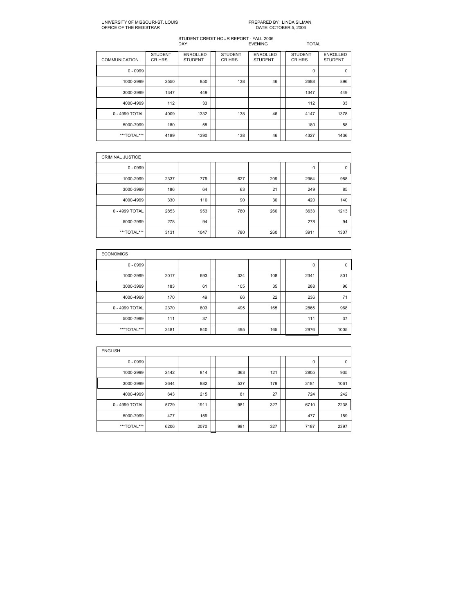# PREPARED BY: LINDA SILMAN<br>DATE: OCTOBER 5, 2006

| <b>COMMUNICATION</b> | <b>STUDENT</b><br>CR HRS | <b>ENROLLED</b><br><b>STUDENT</b> | <b>STUDENT</b><br>CR HRS | <b>ENROLLED</b><br><b>STUDENT</b> | <b>STUDENT</b><br>CR HRS | <b>ENROLLED</b><br><b>STUDENT</b> |
|----------------------|--------------------------|-----------------------------------|--------------------------|-----------------------------------|--------------------------|-----------------------------------|
| $0 - 0999$           |                          |                                   |                          |                                   | 0                        | $\Omega$                          |
| 1000-2999            | 2550                     | 850                               | 138                      | 46                                | 2688                     | 896                               |
| 3000-3999            | 1347                     | 449                               |                          |                                   | 1347                     | 449                               |
| 4000-4999            | 112                      | 33                                |                          |                                   | 112                      | 33                                |
| 0 - 4999 TOTAL       | 4009                     | 1332                              | 138                      | 46                                | 4147                     | 1378                              |
| 5000-7999            | 180                      | 58                                |                          |                                   | 180                      | 58                                |
| ***TOTAL***          | 4189                     | 1390                              | 138                      | 46                                | 4327                     | 1436                              |

| <b>CRIMINAL JUSTICE</b> |      |      |     |     |      |      |
|-------------------------|------|------|-----|-----|------|------|
| $0 - 0999$              |      |      |     |     | 0    | 0    |
| 1000-2999               | 2337 | 779  | 627 | 209 | 2964 | 988  |
| 3000-3999               | 186  | 64   | 63  | 21  | 249  | 85   |
| 4000-4999               | 330  | 110  | 90  | 30  | 420  | 140  |
| 0 - 4999 TOTAL          | 2853 | 953  | 780 | 260 | 3633 | 1213 |
| 5000-7999               | 278  | 94   |     |     | 278  | 94   |
| ***TOTAL***             | 3131 | 1047 | 780 | 260 | 3911 | 1307 |

| <b>ECONOMICS</b> |      |     |     |     |      |      |
|------------------|------|-----|-----|-----|------|------|
| $0 - 0999$       |      |     |     |     | 0    | 0    |
| 1000-2999        | 2017 | 693 | 324 | 108 | 2341 | 801  |
| 3000-3999        | 183  | 61  | 105 | 35  | 288  | 96   |
| 4000-4999        | 170  | 49  | 66  | 22  | 236  | 71   |
| 0 - 4999 TOTAL   | 2370 | 803 | 495 | 165 | 2865 | 968  |
| 5000-7999        | 111  | 37  |     |     | 111  | 37   |
| ***TOTAL***      | 2481 | 840 | 495 | 165 | 2976 | 1005 |

| <b>ENGLISH</b> |      |      |     |     |      |             |
|----------------|------|------|-----|-----|------|-------------|
| $0 - 0999$     |      |      |     |     | 0    | $\mathbf 0$ |
| 1000-2999      | 2442 | 814  | 363 | 121 | 2805 | 935         |
| 3000-3999      | 2644 | 882  | 537 | 179 | 3181 | 1061        |
| 4000-4999      | 643  | 215  | 81  | 27  | 724  | 242         |
| 0 - 4999 TOTAL | 5729 | 1911 | 981 | 327 | 6710 | 2238        |
| 5000-7999      | 477  | 159  |     |     | 477  | 159         |
| ***TOTAL***    | 6206 | 2070 | 981 | 327 | 7187 | 2397        |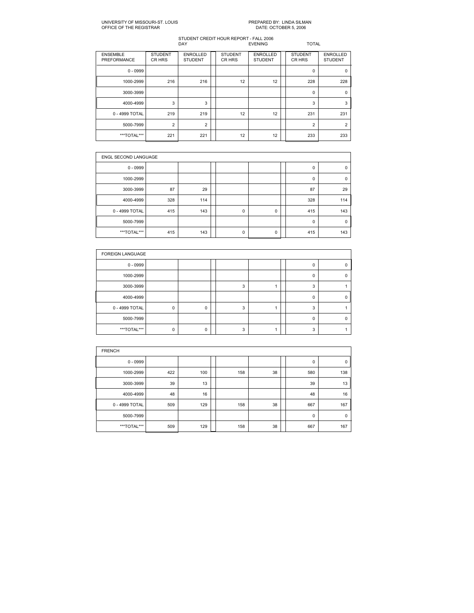# PREPARED BY: LINDA SILMAN<br>DATE: OCTOBER 5, 2006

| <b>ENSEMBLE</b><br>PREFORMANCE | <b>STUDENT</b><br>CR HRS | <b>ENROLLED</b><br><b>STUDENT</b> | <b>STUDENT</b><br>CR HRS | <b>ENROLLED</b><br><b>STUDENT</b> | <b>STUDENT</b><br>CR HRS | <b>ENROLLED</b><br><b>STUDENT</b> |
|--------------------------------|--------------------------|-----------------------------------|--------------------------|-----------------------------------|--------------------------|-----------------------------------|
| $0 - 0999$                     |                          |                                   |                          |                                   | $\mathbf 0$              | $\Omega$                          |
| 1000-2999                      | 216                      | 216                               | 12                       | 12                                | 228                      | 228                               |
| 3000-3999                      |                          |                                   |                          |                                   | $\mathbf 0$              | $\Omega$                          |
| 4000-4999                      | 3                        | 3                                 |                          |                                   | 3                        | 3                                 |
| 0 - 4999 TOTAL                 | 219                      | 219                               | 12                       | 12                                | 231                      | 231                               |
| 5000-7999                      | $\overline{2}$           | $\overline{2}$                    |                          |                                   | $\overline{2}$           | $\overline{2}$                    |
| ***TOTAL***                    | 221                      | 221                               | 12                       | 12                                | 233                      | 233                               |

| <b>ENGL SECOND LANGUAGE</b> |     |     |  |             |   |  |             |             |  |  |
|-----------------------------|-----|-----|--|-------------|---|--|-------------|-------------|--|--|
| $0 - 0999$                  |     |     |  |             |   |  | 0           | $\Omega$    |  |  |
| 1000-2999                   |     |     |  |             |   |  | 0           | $\Omega$    |  |  |
| 3000-3999                   | 87  | 29  |  |             |   |  | 87          | 29          |  |  |
| 4000-4999                   | 328 | 114 |  |             |   |  | 328         | 114         |  |  |
| 0 - 4999 TOTAL              | 415 | 143 |  | $\mathbf 0$ | 0 |  | 415         | 143         |  |  |
| 5000-7999                   |     |     |  |             |   |  | $\mathbf 0$ | $\mathbf 0$ |  |  |
| ***TOTAL***                 | 415 | 143 |  | $\mathbf 0$ | 0 |  | 415         | 143         |  |  |

| <b>FOREIGN LANGUAGE</b> |          |   |   |  |          |  |
|-------------------------|----------|---|---|--|----------|--|
| $0 - 0999$              |          |   |   |  | 0        |  |
| 1000-2999               |          |   |   |  | $\Omega$ |  |
| 3000-3999               |          |   | 3 |  | 3        |  |
| 4000-4999               |          |   |   |  | 0        |  |
| 0 - 4999 TOTAL          | $\Omega$ | 0 | 3 |  | 3        |  |
| 5000-7999               |          |   |   |  | O        |  |
| ***TOTAL***             | $\Omega$ | n | 3 |  | 3        |  |

| <b>FRENCH</b>  |     |     |  |     |    |  |             |             |  |  |  |
|----------------|-----|-----|--|-----|----|--|-------------|-------------|--|--|--|
| $0 - 0999$     |     |     |  |     |    |  | 0           | 0           |  |  |  |
| 1000-2999      | 422 | 100 |  | 158 | 38 |  | 580         | 138         |  |  |  |
| 3000-3999      | 39  | 13  |  |     |    |  | 39          | 13          |  |  |  |
| 4000-4999      | 48  | 16  |  |     |    |  | 48          | 16          |  |  |  |
| 0 - 4999 TOTAL | 509 | 129 |  | 158 | 38 |  | 667         | 167         |  |  |  |
| 5000-7999      |     |     |  |     |    |  | $\mathbf 0$ | $\mathbf 0$ |  |  |  |
| ***TOTAL***    | 509 | 129 |  | 158 | 38 |  | 667         | 167         |  |  |  |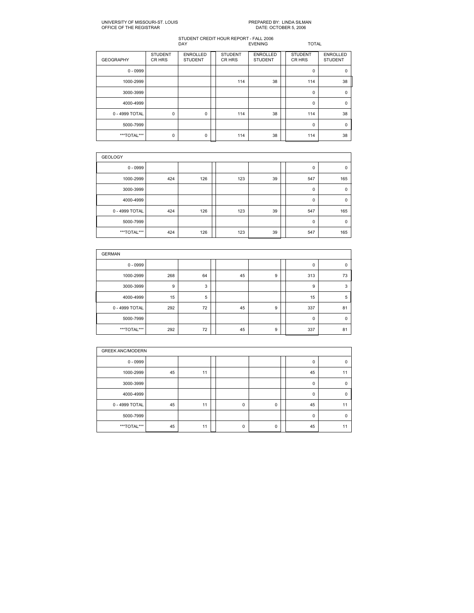# PREPARED BY: LINDA SILMAN<br>DATE: OCTOBER 5, 2006

| <b>GEOGRAPHY</b> | <b>STUDENT</b><br>CR HRS | <b>ENROLLED</b><br><b>STUDENT</b> | <b>STUDENT</b><br>CR HRS | <b>ENROLLED</b><br><b>STUDENT</b> | <b>STUDENT</b><br>CR HRS | <b>ENROLLED</b><br><b>STUDENT</b> |
|------------------|--------------------------|-----------------------------------|--------------------------|-----------------------------------|--------------------------|-----------------------------------|
| $0 - 0999$       |                          |                                   |                          |                                   | 0                        | $\mathbf 0$                       |
| 1000-2999        |                          |                                   | 114                      | 38                                | 114                      | 38                                |
| 3000-3999        |                          |                                   |                          |                                   | $\Omega$                 | $\Omega$                          |
| 4000-4999        |                          |                                   |                          |                                   | 0                        | $\mathbf 0$                       |
| 0 - 4999 TOTAL   | $\mathbf 0$              | 0                                 | 114                      | 38                                | 114                      | 38                                |
| 5000-7999        |                          |                                   |                          |                                   | 0                        | $\Omega$                          |
| ***TOTAL***      | $\mathbf 0$              | 0                                 | 114                      | 38                                | 114                      | 38                                |

| <b>GEOLOGY</b> |     |     |  |     |    |  |             |             |  |  |  |
|----------------|-----|-----|--|-----|----|--|-------------|-------------|--|--|--|
| $0 - 0999$     |     |     |  |     |    |  | 0           | $\mathbf 0$ |  |  |  |
| 1000-2999      | 424 | 126 |  | 123 | 39 |  | 547         | 165         |  |  |  |
| 3000-3999      |     |     |  |     |    |  | $\mathbf 0$ | $\mathbf 0$ |  |  |  |
| 4000-4999      |     |     |  |     |    |  | $\mathbf 0$ | $\Omega$    |  |  |  |
| 0 - 4999 TOTAL | 424 | 126 |  | 123 | 39 |  | 547         | 165         |  |  |  |
| 5000-7999      |     |     |  |     |    |  | $\mathbf 0$ | $\mathbf 0$ |  |  |  |
| ***TOTAL***    | 424 | 126 |  | 123 | 39 |  | 547         | 165         |  |  |  |

| <b>GERMAN</b>  |     |    |  |    |   |  |             |             |  |  |  |
|----------------|-----|----|--|----|---|--|-------------|-------------|--|--|--|
| $0 - 0999$     |     |    |  |    |   |  | 0           | $\mathbf 0$ |  |  |  |
| 1000-2999      | 268 | 64 |  | 45 | 9 |  | 313         | 73          |  |  |  |
| 3000-3999      | 9   | 3  |  |    |   |  | 9           | 3           |  |  |  |
| 4000-4999      | 15  | 5  |  |    |   |  | 15          | 5           |  |  |  |
| 0 - 4999 TOTAL | 292 | 72 |  | 45 | 9 |  | 337         | 81          |  |  |  |
| 5000-7999      |     |    |  |    |   |  | $\mathbf 0$ | $\mathbf 0$ |  |  |  |
| ***TOTAL***    | 292 | 72 |  | 45 | 9 |  | 337         | 81          |  |  |  |

|                | <b>GREEK ANC/MODERN</b> |    |  |   |   |  |    |             |  |  |  |
|----------------|-------------------------|----|--|---|---|--|----|-------------|--|--|--|
| $0 - 0999$     |                         |    |  |   |   |  | 0  | $\Omega$    |  |  |  |
| 1000-2999      | 45                      | 11 |  |   |   |  | 45 | 11          |  |  |  |
| 3000-3999      |                         |    |  |   |   |  | 0  | $\mathbf 0$ |  |  |  |
| 4000-4999      |                         |    |  |   |   |  | 0  | $\Omega$    |  |  |  |
| 0 - 4999 TOTAL | 45                      | 11 |  | 0 | 0 |  | 45 | 11          |  |  |  |
| 5000-7999      |                         |    |  |   |   |  | 0  | $\Omega$    |  |  |  |
| ***TOTAL***    | 45                      | 11 |  | 0 | 0 |  | 45 | 11          |  |  |  |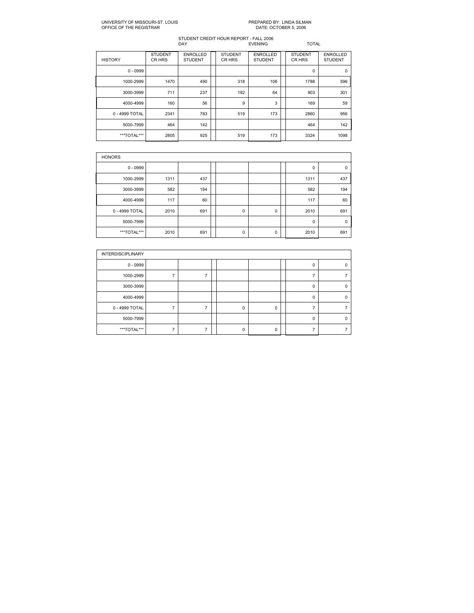# PREPARED BY: LINDA SILMAN<br>DATE: OCTOBER 5, 2006

| <b>HISTORY</b> | <b>STUDENT</b><br>CR HRS | <b>ENROLLED</b><br><b>STUDENT</b> | <b>STUDENT</b><br>CR HRS | <b>ENROLLED</b><br><b>STUDENT</b> | <b>STUDENT</b><br>CR HRS | <b>ENROLLED</b><br><b>STUDENT</b> |
|----------------|--------------------------|-----------------------------------|--------------------------|-----------------------------------|--------------------------|-----------------------------------|
| $0 - 0999$     |                          |                                   |                          |                                   | 0                        | $\mathbf 0$                       |
| 1000-2999      | 1470                     | 490                               | 318                      | 106                               | 1788                     | 596                               |
| 3000-3999      | 711                      | 237                               | 192                      | 64                                | 903                      | 301                               |
| 4000-4999      | 160                      | 56                                | 9                        | 3                                 | 169                      | 59                                |
| 0 - 4999 TOTAL | 2341                     | 783                               | 519                      | 173                               | 2860                     | 956                               |
| 5000-7999      | 464                      | 142                               |                          |                                   | 464                      | 142                               |
| ***TOTAL***    | 2805                     | 925                               | 519                      | 173                               | 3324                     | 1098                              |

| <b>HONORS</b>  |      |     |  |             |   |  |             |             |  |  |  |
|----------------|------|-----|--|-------------|---|--|-------------|-------------|--|--|--|
| $0 - 0999$     |      |     |  |             |   |  | 0           | $\mathbf 0$ |  |  |  |
| 1000-2999      | 1311 | 437 |  |             |   |  | 1311        | 437         |  |  |  |
| 3000-3999      | 582  | 194 |  |             |   |  | 582         | 194         |  |  |  |
| 4000-4999      | 117  | 60  |  |             |   |  | 117         | 60          |  |  |  |
| 0 - 4999 TOTAL | 2010 | 691 |  | $\mathbf 0$ | 0 |  | 2010        | 691         |  |  |  |
| 5000-7999      |      |     |  |             |   |  | $\mathbf 0$ | $\Omega$    |  |  |  |
| ***TOTAL***    | 2010 | 691 |  | 0           | 0 |  | 2010        | 691         |  |  |  |

| <b>INTERDISCIPLINARY</b> |  |          |          |   |   |
|--------------------------|--|----------|----------|---|---|
| $0 - 0999$               |  |          |          |   |   |
| 1000-2999                |  |          |          |   |   |
| 3000-3999                |  |          |          | 0 | 0 |
| 4000-4999                |  |          |          | Ω |   |
| 0 - 4999 TOTAL           |  | $\Omega$ | 0        |   |   |
| 5000-7999                |  |          |          | n |   |
| ***TOTAL***              |  | n        | $\Omega$ |   |   |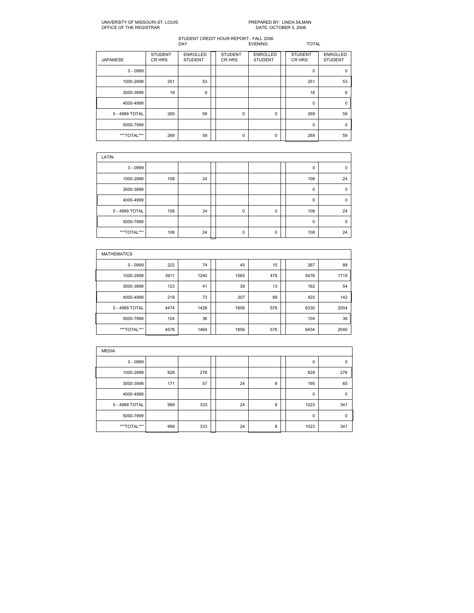# PREPARED BY: LINDA SILMAN<br>DATE: OCTOBER 5, 2006

| <b>JAPANESE</b> | <b>STUDENT</b><br>CR HRS | <b>ENROLLED</b><br><b>STUDENT</b> | <b>STUDENT</b><br>CR HRS | <b>ENROLLED</b><br><b>STUDENT</b> | <b>STUDENT</b><br>CR HRS | <b>ENROLLED</b><br><b>STUDENT</b> |
|-----------------|--------------------------|-----------------------------------|--------------------------|-----------------------------------|--------------------------|-----------------------------------|
| $0 - 0999$      |                          |                                   |                          |                                   | 0                        | $\Omega$                          |
| 1000-2999       | 251                      | 53                                |                          |                                   | 251                      | 53                                |
| 3000-3999       | 18                       | 6                                 |                          |                                   | 18                       | 6                                 |
| 4000-4999       |                          |                                   |                          |                                   | 0                        | $\Omega$                          |
| 0 - 4999 TOTAL  | 269                      | 59                                | 0                        | 0                                 | 269                      | 59                                |
| 5000-7999       |                          |                                   |                          |                                   | 0                        | $\Omega$                          |
| ***TOTAL***     | 269                      | 59                                | 0                        | 0                                 | 269                      | 59                                |

| LATIN          |     |    |  |   |   |  |              |             |  |  |  |
|----------------|-----|----|--|---|---|--|--------------|-------------|--|--|--|
| $0 - 0999$     |     |    |  |   |   |  | 0            | $\Omega$    |  |  |  |
| 1000-2999      | 108 | 24 |  |   |   |  | 108          | 24          |  |  |  |
| 3000-3999      |     |    |  |   |   |  | 0            | $\mathbf 0$ |  |  |  |
| 4000-4999      |     |    |  |   |   |  | $\mathbf{0}$ | $\Omega$    |  |  |  |
| 0 - 4999 TOTAL | 108 | 24 |  | 0 | 0 |  | 108          | 24          |  |  |  |
| 5000-7999      |     |    |  |   |   |  | 0            | $\mathbf 0$ |  |  |  |
| ***TOTAL***    | 108 | 24 |  | 0 | 0 |  | 108          | 24          |  |  |  |

| <b>MATHEMATICS</b> |      |      |      |     |      |      |
|--------------------|------|------|------|-----|------|------|
| $0 - 0999$         | 222  | 74   | 45   | 15  | 267  | 89   |
| 1000-2999          | 3911 | 1240 | 1565 | 479 | 5476 | 1719 |
| 3000-3999          | 123  | 41   | 39   | 13  | 162  | 54   |
| 4000-4999          | 218  | 73   | 207  | 69  | 425  | 142  |
| 0 - 4999 TOTAL     | 4474 | 1428 | 1856 | 576 | 6330 | 2004 |
| 5000-7999          | 104  | 36   |      |     | 104  | 36   |
| ***TOTAL***        | 4578 | 1464 | 1856 | 576 | 6434 | 2040 |

| <b>MEDIA</b>   |     |     |  |    |   |  |             |             |  |  |
|----------------|-----|-----|--|----|---|--|-------------|-------------|--|--|
| $0 - 0999$     |     |     |  |    |   |  | $\mathbf 0$ | 0           |  |  |
| 1000-2999      | 828 | 276 |  |    |   |  | 828         | 276         |  |  |
| 3000-3999      | 171 | 57  |  | 24 | 8 |  | 195         | 65          |  |  |
| 4000-4999      |     |     |  |    |   |  | $\mathbf 0$ | $\mathbf 0$ |  |  |
| 0 - 4999 TOTAL | 999 | 333 |  | 24 | 8 |  | 1023        | 341         |  |  |
| 5000-7999      |     |     |  |    |   |  | $\mathbf 0$ | $\mathbf 0$ |  |  |
| ***TOTAL***    | 999 | 333 |  | 24 | 8 |  | 1023        | 341         |  |  |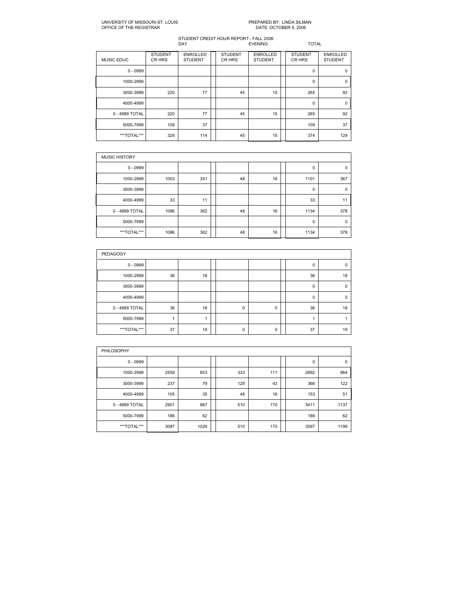# PREPARED BY: LINDA SILMAN<br>DATE: OCTOBER 5, 2006

| <b>MUSIC EDUC</b> | <b>STUDENT</b><br>CR HRS | <b>ENROLLED</b><br><b>STUDENT</b> | <b>STUDENT</b><br>CR HRS | <b>ENROLLED</b><br><b>STUDENT</b> | <b>STUDENT</b><br>CR HRS | <b>ENROLLED</b><br><b>STUDENT</b> |
|-------------------|--------------------------|-----------------------------------|--------------------------|-----------------------------------|--------------------------|-----------------------------------|
| $0 - 0999$        |                          |                                   |                          |                                   | 0                        | $\mathbf 0$                       |
| 1000-2999         |                          |                                   |                          |                                   | 0                        | $\mathbf 0$                       |
| 3000-3999         | 220                      | 77                                | 45                       | 15                                | 265                      | 92                                |
| 4000-4999         |                          |                                   |                          |                                   | $\mathbf 0$              | $\mathbf 0$                       |
| 0 - 4999 TOTAL    | 220                      | 77                                | 45                       | 15                                | 265                      | 92                                |
| 5000-7999         | 109                      | 37                                |                          |                                   | 109                      | 37                                |
| ***TOTAL***       | 329                      | 114                               | 45                       | 15                                | 374                      | 129                               |

| <b>MUSIC HISTORY</b> |      |     |  |    |    |  |      |             |  |  |  |  |
|----------------------|------|-----|--|----|----|--|------|-------------|--|--|--|--|
| $0 - 0999$           |      |     |  |    |    |  | 0    | $\mathbf 0$ |  |  |  |  |
| 1000-2999            | 1053 | 351 |  | 48 | 16 |  | 1101 | 367         |  |  |  |  |
| 3000-3999            |      |     |  |    |    |  | 0    | 0           |  |  |  |  |
| 4000-4999            | 33   | 11  |  |    |    |  | 33   | 11          |  |  |  |  |
| 0 - 4999 TOTAL       | 1086 | 362 |  | 48 | 16 |  | 1134 | 378         |  |  |  |  |
| 5000-7999            |      |     |  |    |    |  | 0    | 0           |  |  |  |  |
| ***TOTAL***          | 1086 | 362 |  | 48 | 16 |  | 1134 | 378         |  |  |  |  |

| PEDAGOGY       |    |    |  |   |   |  |          |          |  |  |  |
|----------------|----|----|--|---|---|--|----------|----------|--|--|--|
| $0 - 0999$     |    |    |  |   |   |  | 0        | $\Omega$ |  |  |  |
| 1000-2999      | 36 | 18 |  |   |   |  | 36       | 18       |  |  |  |
| 3000-3999      |    |    |  |   |   |  | 0        | $\Omega$ |  |  |  |
| 4000-4999      |    |    |  |   |   |  | $\Omega$ | $\Omega$ |  |  |  |
| 0 - 4999 TOTAL | 36 | 18 |  | 0 | 0 |  | 36       | 18       |  |  |  |
| 5000-7999      |    |    |  |   |   |  |          |          |  |  |  |
| ***TOTAL***    | 37 | 19 |  | 0 | 0 |  | 37       | 19       |  |  |  |

| PHILOSOPHY     |      |      |  |     |     |  |      |             |  |  |  |
|----------------|------|------|--|-----|-----|--|------|-------------|--|--|--|
| $0 - 0999$     |      |      |  |     |     |  | 0    | $\mathbf 0$ |  |  |  |
| 1000-2999      | 2559 | 853  |  | 333 | 111 |  | 2892 | 964         |  |  |  |
| 3000-3999      | 237  | 79   |  | 129 | 43  |  | 366  | 122         |  |  |  |
| 4000-4999      | 105  | 35   |  | 48  | 16  |  | 153  | 51          |  |  |  |
| 0 - 4999 TOTAL | 2901 | 967  |  | 510 | 170 |  | 3411 | 1137        |  |  |  |
| 5000-7999      | 186  | 62   |  |     |     |  | 186  | 62          |  |  |  |
| ***TOTAL***    | 3087 | 1029 |  | 510 | 170 |  | 3597 | 1199        |  |  |  |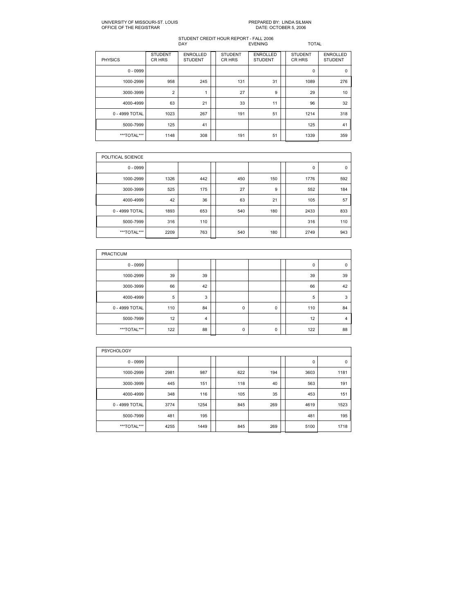# PREPARED BY: LINDA SILMAN<br>DATE: OCTOBER 5, 2006

| <b>PHYSICS</b> | <b>STUDENT</b><br>CR HRS | <b>ENROLLED</b><br><b>STUDENT</b> | <b>STUDENT</b><br>CR HRS | <b>ENROLLED</b><br><b>STUDENT</b> | <b>STUDENT</b><br>CR HRS | <b>ENROLLED</b><br><b>STUDENT</b> |
|----------------|--------------------------|-----------------------------------|--------------------------|-----------------------------------|--------------------------|-----------------------------------|
| $0 - 0999$     |                          |                                   |                          |                                   | $\mathbf 0$              | $\mathbf 0$                       |
| 1000-2999      | 958                      | 245                               | 131                      | 31                                | 1089                     | 276                               |
| 3000-3999      | $\overline{2}$           | 1                                 | 27                       | 9                                 | 29                       | 10                                |
| 4000-4999      | 63                       | 21                                | 33                       | 11                                | 96                       | 32                                |
| 0 - 4999 TOTAL | 1023                     | 267                               | 191                      | 51                                | 1214                     | 318                               |
| 5000-7999      | 125                      | 41                                |                          |                                   | 125                      | 41                                |
| ***TOTAL***    | 1148                     | 308                               | 191                      | 51                                | 1339                     | 359                               |

| POLITICAL SCIENCE |      |     |     |     |      |     |
|-------------------|------|-----|-----|-----|------|-----|
| $0 - 0999$        |      |     |     |     | 0    | 0   |
| 1000-2999         | 1326 | 442 | 450 | 150 | 1776 | 592 |
| 3000-3999         | 525  | 175 | 27  | 9   | 552  | 184 |
| 4000-4999         | 42   | 36  | 63  | 21  | 105  | 57  |
| 0 - 4999 TOTAL    | 1893 | 653 | 540 | 180 | 2433 | 833 |
| 5000-7999         | 316  | 110 |     |     | 316  | 110 |
| ***TOTAL***       | 2209 | 763 | 540 | 180 | 2749 | 943 |

| <b>PRACTICUM</b> |     |    |  |             |   |  |     |             |  |  |  |
|------------------|-----|----|--|-------------|---|--|-----|-------------|--|--|--|
| $0 - 0999$       |     |    |  |             |   |  | 0   | $\mathbf 0$ |  |  |  |
| 1000-2999        | 39  | 39 |  |             |   |  | 39  | 39          |  |  |  |
| 3000-3999        | 66  | 42 |  |             |   |  | 66  | 42          |  |  |  |
| 4000-4999        | 5   | 3  |  |             |   |  | 5   | 3           |  |  |  |
| 0 - 4999 TOTAL   | 110 | 84 |  | $\mathbf 0$ | 0 |  | 110 | 84          |  |  |  |
| 5000-7999        | 12  | 4  |  |             |   |  | 12  | 4           |  |  |  |
| ***TOTAL***      | 122 | 88 |  | 0           | 0 |  | 122 | 88          |  |  |  |

| <b>PSYCHOLOGY</b> |      |      |  |     |     |  |      |             |  |  |  |  |
|-------------------|------|------|--|-----|-----|--|------|-------------|--|--|--|--|
| $0 - 0999$        |      |      |  |     |     |  | 0    | $\mathbf 0$ |  |  |  |  |
| 1000-2999         | 2981 | 987  |  | 622 | 194 |  | 3603 | 1181        |  |  |  |  |
| 3000-3999         | 445  | 151  |  | 118 | 40  |  | 563  | 191         |  |  |  |  |
| 4000-4999         | 348  | 116  |  | 105 | 35  |  | 453  | 151         |  |  |  |  |
| 0 - 4999 TOTAL    | 3774 | 1254 |  | 845 | 269 |  | 4619 | 1523        |  |  |  |  |
| 5000-7999         | 481  | 195  |  |     |     |  | 481  | 195         |  |  |  |  |
| ***TOTAL***       | 4255 | 1449 |  | 845 | 269 |  | 5100 | 1718        |  |  |  |  |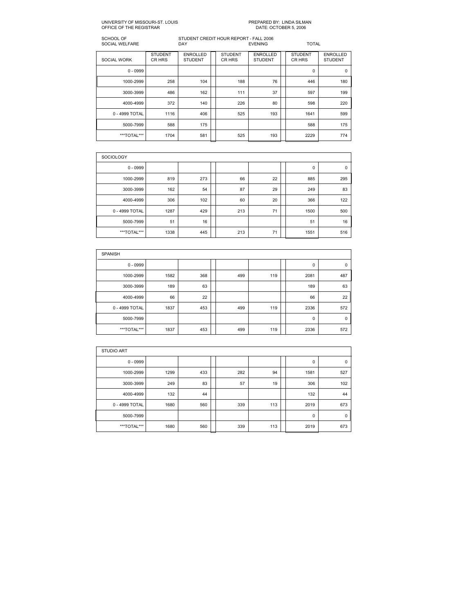#### UNIVERSITY OF MISSOURIST. LOUIS PREPARED BY: LINDA SILMAN OFFICE OF THE REGISTRAR

SCHOOL OF STUDENT CREDIT HOUR REPORT FALL 2006 SOCIAL WELFARE DAY EVENING TOTAL STUDENT ENROLLED STUDENT ENROLLED STUDENT ENROLLED SOCIAL WORK CR HRS STUDENT CR HRS STUDENT CR HRS STUDENT 0 0999 0 0 1000-2999 | 258 | 104 | 188 | 76 | 184 | 180 || 180 || 30003999 486 162 111 37 597 199 4000-4999 | 372 | 140 | 226 | 80 | 598 | 220 ||  $0 - 4999$  TOTAL  $\begin{array}{|c|c|c|c|c|c|c|c|c|} \hline \end{array}$  106  $\begin{array}{|c|c|c|c|c|c|} \hline \end{array}$  599 193  $\begin{array}{|c|c|c|c|c|} \hline \end{array}$  1641 599 5000-7999 | 588 | 175 || | | | 588 | 175 |

| <b>SOCIOLOGY</b> |      |     |  |     |    |  |      |     |  |  |  |
|------------------|------|-----|--|-----|----|--|------|-----|--|--|--|
| $0 - 0999$       |      |     |  |     |    |  | 0    | 0   |  |  |  |
| 1000-2999        | 819  | 273 |  | 66  | 22 |  | 885  | 295 |  |  |  |
| 3000-3999        | 162  | 54  |  | 87  | 29 |  | 249  | 83  |  |  |  |
| 4000-4999        | 306  | 102 |  | 60  | 20 |  | 366  | 122 |  |  |  |
| 0 - 4999 TOTAL   | 1287 | 429 |  | 213 | 71 |  | 1500 | 500 |  |  |  |
| 5000-7999        | 51   | 16  |  |     |    |  | 51   | 16  |  |  |  |
| ***TOTAL***      | 1338 | 445 |  | 213 | 71 |  | 1551 | 516 |  |  |  |

\*\*\*TOTAL\*\*\* | 1704 | 581 || 525 | 193 || 2229 | 774 |

| <b>SPANISH</b> |      |     |  |     |     |  |             |             |  |  |  |  |
|----------------|------|-----|--|-----|-----|--|-------------|-------------|--|--|--|--|
| $0 - 0999$     |      |     |  |     |     |  | 0           | $\mathbf 0$ |  |  |  |  |
| 1000-2999      | 1582 | 368 |  | 499 | 119 |  | 2081        | 487         |  |  |  |  |
| 3000-3999      | 189  | 63  |  |     |     |  | 189         | 63          |  |  |  |  |
| 4000-4999      | 66   | 22  |  |     |     |  | 66          | 22          |  |  |  |  |
| 0 - 4999 TOTAL | 1837 | 453 |  | 499 | 119 |  | 2336        | 572         |  |  |  |  |
| 5000-7999      |      |     |  |     |     |  | $\mathbf 0$ | $\mathbf 0$ |  |  |  |  |
| ***TOTAL***    | 1837 | 453 |  | 499 | 119 |  | 2336        | 572         |  |  |  |  |

| <b>STUDIO ART</b> |      |     |  |     |     |  |             |             |  |  |  |  |
|-------------------|------|-----|--|-----|-----|--|-------------|-------------|--|--|--|--|
| $0 - 0999$        |      |     |  |     |     |  | 0           | 0           |  |  |  |  |
| 1000-2999         | 1299 | 433 |  | 282 | 94  |  | 1581        | 527         |  |  |  |  |
| 3000-3999         | 249  | 83  |  | 57  | 19  |  | 306         | 102         |  |  |  |  |
| 4000-4999         | 132  | 44  |  |     |     |  | 132         | 44          |  |  |  |  |
| 0 - 4999 TOTAL    | 1680 | 560 |  | 339 | 113 |  | 2019        | 673         |  |  |  |  |
| 5000-7999         |      |     |  |     |     |  | $\mathbf 0$ | $\mathbf 0$ |  |  |  |  |
| ***TOTAL***       | 1680 | 560 |  | 339 | 113 |  | 2019        | 673         |  |  |  |  |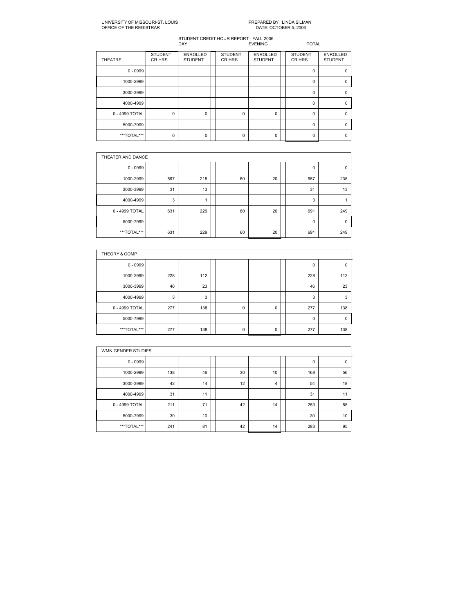# PREPARED BY: LINDA SILMAN<br>DATE: OCTOBER 5, 2006

| <b>THEATRE</b> | <b>STUDENT</b><br>CR HRS | <b>ENROLLED</b><br><b>STUDENT</b> | <b>STUDENT</b><br>CR HRS | <b>ENROLLED</b><br><b>STUDENT</b> | <b>STUDENT</b><br>CR HRS | <b>ENROLLED</b><br><b>STUDENT</b> |
|----------------|--------------------------|-----------------------------------|--------------------------|-----------------------------------|--------------------------|-----------------------------------|
| $0 - 0999$     |                          |                                   |                          |                                   | $\Omega$                 |                                   |
| 1000-2999      |                          |                                   |                          |                                   | 0                        |                                   |
| 3000-3999      |                          |                                   |                          |                                   | $\Omega$                 |                                   |
| 4000-4999      |                          |                                   |                          |                                   | $\Omega$                 | O                                 |
| 0 - 4999 TOTAL | 0                        | 0                                 | $\Omega$                 | 0                                 | $\Omega$                 |                                   |
| 5000-7999      |                          |                                   |                          |                                   | $\Omega$                 | n                                 |
| ***TOTAL***    | 0                        | 0                                 | O                        | $\Omega$                          | O                        |                                   |

|                | THEATER AND DANCE |     |  |    |    |  |             |             |  |  |  |  |
|----------------|-------------------|-----|--|----|----|--|-------------|-------------|--|--|--|--|
| $0 - 0999$     |                   |     |  |    |    |  | 0           | $\mathbf 0$ |  |  |  |  |
| 1000-2999      | 597               | 215 |  | 60 | 20 |  | 657         | 235         |  |  |  |  |
| 3000-3999      | 31                | 13  |  |    |    |  | 31          | 13          |  |  |  |  |
| 4000-4999      | 3                 |     |  |    |    |  | 3           | ٠           |  |  |  |  |
| 0 - 4999 TOTAL | 631               | 229 |  | 60 | 20 |  | 691         | 249         |  |  |  |  |
| 5000-7999      |                   |     |  |    |    |  | $\mathbf 0$ | $\mathbf 0$ |  |  |  |  |
| ***TOTAL***    | 631               | 229 |  | 60 | 20 |  | 691         | 249         |  |  |  |  |

| THEORY & COMP  |     |     |  |             |   |  |     |     |  |  |  |  |
|----------------|-----|-----|--|-------------|---|--|-----|-----|--|--|--|--|
| $0 - 0999$     |     |     |  |             |   |  | 0   | 0   |  |  |  |  |
| 1000-2999      | 228 | 112 |  |             |   |  | 228 | 112 |  |  |  |  |
| 3000-3999      | 46  | 23  |  |             |   |  | 46  | 23  |  |  |  |  |
| 4000-4999      | 3   | 3   |  |             |   |  | 3   | 3   |  |  |  |  |
| 0 - 4999 TOTAL | 277 | 138 |  | $\mathbf 0$ | 0 |  | 277 | 138 |  |  |  |  |
| 5000-7999      |     |     |  |             |   |  | 0   |     |  |  |  |  |
| ***TOTAL***    | 277 | 138 |  | $\mathbf 0$ | 0 |  | 277 | 138 |  |  |  |  |

|                | WMN GENDER STUDIES |    |  |    |    |  |     |             |  |  |  |  |
|----------------|--------------------|----|--|----|----|--|-----|-------------|--|--|--|--|
| $0 - 0999$     |                    |    |  |    |    |  | 0   | $\mathbf 0$ |  |  |  |  |
| 1000-2999      | 138                | 46 |  | 30 | 10 |  | 168 | 56          |  |  |  |  |
| 3000-3999      | 42                 | 14 |  | 12 | 4  |  | 54  | 18          |  |  |  |  |
| 4000-4999      | 31                 | 11 |  |    |    |  | 31  | 11          |  |  |  |  |
| 0 - 4999 TOTAL | 211                | 71 |  | 42 | 14 |  | 253 | 85          |  |  |  |  |
| 5000-7999      | 30                 | 10 |  |    |    |  | 30  | 10          |  |  |  |  |
| ***TOTAL***    | 241                | 81 |  | 42 | 14 |  | 283 | 95          |  |  |  |  |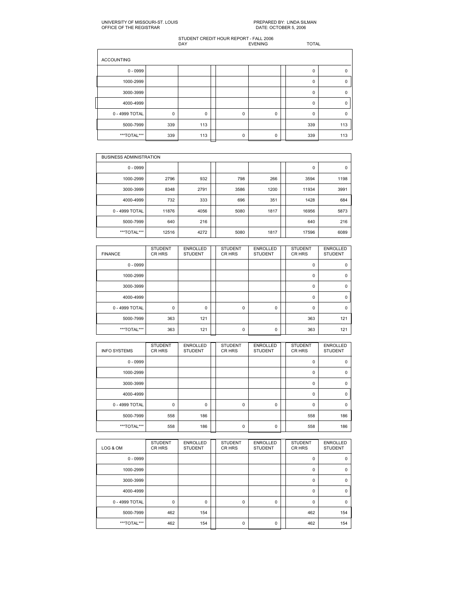| <b>ACCOUNTING</b> |             |             |  |             |             |  |             |             |  |  |  |
|-------------------|-------------|-------------|--|-------------|-------------|--|-------------|-------------|--|--|--|
| $0 - 0999$        |             |             |  |             |             |  | $\Omega$    | $\Omega$    |  |  |  |
| 1000-2999         |             |             |  |             |             |  | $\mathbf 0$ | $\mathbf 0$ |  |  |  |
| 3000-3999         |             |             |  |             |             |  | $\mathbf 0$ | $\Omega$    |  |  |  |
| 4000-4999         |             |             |  |             |             |  | $\Omega$    | $\mathbf 0$ |  |  |  |
| 0 - 4999 TOTAL    | $\mathbf 0$ | $\mathbf 0$ |  | $\mathbf 0$ | $\mathbf 0$ |  | $\mathbf 0$ | $\Omega$    |  |  |  |
| 5000-7999         | 339         | 113         |  |             |             |  | 339         | 113         |  |  |  |
| ***TOTAL***       | 339         | 113         |  | $\Omega$    | 0           |  | 339         | 113         |  |  |  |

|                | <b>BUSINESS ADMINISTRATION</b> |      |  |      |      |  |       |      |  |  |  |  |
|----------------|--------------------------------|------|--|------|------|--|-------|------|--|--|--|--|
| $0 - 0999$     |                                |      |  |      |      |  | 0     | 0    |  |  |  |  |
| 1000-2999      | 2796                           | 932  |  | 798  | 266  |  | 3594  | 1198 |  |  |  |  |
| 3000-3999      | 8348                           | 2791 |  | 3586 | 1200 |  | 11934 | 3991 |  |  |  |  |
| 4000-4999      | 732                            | 333  |  | 696  | 351  |  | 1428  | 684  |  |  |  |  |
| 0 - 4999 TOTAL | 11876                          | 4056 |  | 5080 | 1817 |  | 16956 | 5873 |  |  |  |  |
| 5000-7999      | 640                            | 216  |  |      |      |  | 640   | 216  |  |  |  |  |
| ***TOTAL***    | 12516                          | 4272 |  | 5080 | 1817 |  | 17596 | 6089 |  |  |  |  |

| <b>FINANCE</b> | <b>STUDENT</b><br>CR HRS | <b>ENROLLED</b><br><b>STUDENT</b> | <b>STUDENT</b><br>CR HRS | <b>ENROLLED</b><br><b>STUDENT</b> | <b>STUDENT</b><br>CR HRS | <b>ENROLLED</b><br><b>STUDENT</b> |
|----------------|--------------------------|-----------------------------------|--------------------------|-----------------------------------|--------------------------|-----------------------------------|
| $0 - 0999$     |                          |                                   |                          |                                   | $\mathbf 0$              | $\Omega$                          |
| 1000-2999      |                          |                                   |                          |                                   | $\Omega$                 | $\Omega$                          |
| 3000-3999      |                          |                                   |                          |                                   | $\mathbf 0$              | $\Omega$                          |
| 4000-4999      |                          |                                   |                          |                                   | $\Omega$                 | $\Omega$                          |
| 0 - 4999 TOTAL | 0                        | 0                                 | $\Omega$                 | 0                                 | $\Omega$                 | $\Omega$                          |
| 5000-7999      | 363                      | 121                               |                          |                                   | 363                      | 121                               |
| ***TOTAL***    | 363                      | 121                               | $\Omega$                 | $\Omega$                          | 363                      | 121                               |

| <b>INFO SYSTEMS</b> | <b>STUDENT</b><br>CR HRS | <b>ENROLLED</b><br><b>STUDENT</b> | <b>STUDENT</b><br>CR HRS | <b>ENROLLED</b><br><b>STUDENT</b> | <b>STUDENT</b><br>CR HRS | <b>ENROLLED</b><br><b>STUDENT</b> |
|---------------------|--------------------------|-----------------------------------|--------------------------|-----------------------------------|--------------------------|-----------------------------------|
| $0 - 0999$          |                          |                                   |                          |                                   | 0                        | $\Omega$                          |
| 1000-2999           |                          |                                   |                          |                                   | $\mathbf 0$              | $\Omega$                          |
| 3000-3999           |                          |                                   |                          |                                   | 0                        | $\Omega$                          |
| 4000-4999           |                          |                                   |                          |                                   | 0                        | $\Omega$                          |
| 0 - 4999 TOTAL      | $\mathbf 0$              | $\Omega$                          | $\Omega$                 | $\Omega$                          | $\Omega$                 | O                                 |
| 5000-7999           | 558                      | 186                               |                          |                                   | 558                      | 186                               |
| ***TOTAL***         | 558                      | 186                               | $\Omega$                 | 0                                 | 558                      | 186                               |

| LOG & OM       | <b>STUDENT</b><br>CR HRS | <b>ENROLLED</b><br><b>STUDENT</b> | <b>STUDENT</b><br>CR HRS | <b>ENROLLED</b><br><b>STUDENT</b> | <b>STUDENT</b><br>CR HRS | <b>ENROLLED</b><br><b>STUDENT</b> |
|----------------|--------------------------|-----------------------------------|--------------------------|-----------------------------------|--------------------------|-----------------------------------|
| $0 - 0999$     |                          |                                   |                          |                                   | 0                        | $\Omega$                          |
| 1000-2999      |                          |                                   |                          |                                   | 0                        | $\Omega$                          |
| 3000-3999      |                          |                                   |                          |                                   | $\Omega$                 | $\Omega$                          |
| 4000-4999      |                          |                                   |                          |                                   | 0                        | $\mathbf 0$                       |
| 0 - 4999 TOTAL | 0                        | $\Omega$                          | $\Omega$                 | $\Omega$                          | $\Omega$                 | $\Omega$                          |
| 5000-7999      | 462                      | 154                               |                          |                                   | 462                      | 154                               |
| ***TOTAL***    | 462                      | 154                               | 0                        | 0                                 | 462                      | 154                               |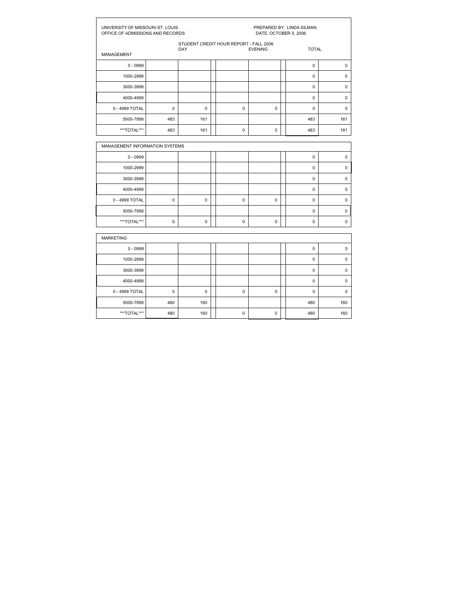| UNIVERSITY OF MISSOURI-ST. LOUIS<br>OFFICE OF ADMISSIONS AND RECORDS |             |                                               | PREPARED BY: LINDA SILMAN<br>DATE: OCTOBER 5, 2006 |                |  |              |             |  |
|----------------------------------------------------------------------|-------------|-----------------------------------------------|----------------------------------------------------|----------------|--|--------------|-------------|--|
| <b>MANAGEMENT</b>                                                    |             | STUDENT CREDIT HOUR REPORT - FALL 2006<br>DAY |                                                    | <b>EVENING</b> |  | <b>TOTAL</b> |             |  |
| $0 - 0999$                                                           |             |                                               |                                                    |                |  | $\mathbf 0$  | $\mathbf 0$ |  |
| 1000-2999                                                            |             |                                               |                                                    |                |  | $\Omega$     | $\mathbf 0$ |  |
| 3000-3999                                                            |             |                                               |                                                    |                |  | $\mathbf 0$  | $\mathbf 0$ |  |
| 4000-4999                                                            |             |                                               |                                                    |                |  | $\mathbf 0$  | $\mathbf 0$ |  |
| 0 - 4999 TOTAL                                                       | 0           | 0                                             | $\mathbf 0$                                        | $\mathbf 0$    |  | $\mathbf 0$  | $\pmb{0}$   |  |
| 5000-7999                                                            | 483         | 161                                           |                                                    |                |  | 483          | 161         |  |
| ***TOTAL***                                                          | 483         | 161                                           | $\Omega$                                           | $\mathbf 0$    |  | 483          | 161         |  |
| MANAGEMENT INFORMATION SYSTEMS                                       |             |                                               |                                                    |                |  |              |             |  |
| $0 - 0999$                                                           |             |                                               |                                                    |                |  | $\mathbf 0$  | $\mathbf 0$ |  |
| 1000-2999                                                            |             |                                               |                                                    |                |  | $\mathbf 0$  | $\mathbf 0$ |  |
| 3000-3999                                                            |             |                                               |                                                    |                |  | $\mathbf 0$  | $\mathbf 0$ |  |
| 4000-4999                                                            |             |                                               |                                                    |                |  | $\mathbf 0$  | $\pmb{0}$   |  |
|                                                                      |             |                                               |                                                    |                |  |              |             |  |
| 0 - 4999 TOTAL                                                       | 0           | 0                                             | $\mathbf 0$                                        | $\mathbf 0$    |  | $\mathbf 0$  | $\mathbf 0$ |  |
| 5000-7999                                                            |             |                                               |                                                    |                |  | $\mathbf 0$  | $\mathbf 0$ |  |
| ***TOTAL***                                                          | $\mathbf 0$ | $\mathbf 0$                                   | $\mathbf 0$                                        | $\mathbf 0$    |  | $\mathbf 0$  | $\mathsf 0$ |  |

| <b>MARKETING</b> |     |     |  |   |   |  |          |          |  |  |  |  |
|------------------|-----|-----|--|---|---|--|----------|----------|--|--|--|--|
| $0 - 0999$       |     |     |  |   |   |  | 0        | $\Omega$ |  |  |  |  |
| 1000-2999        |     |     |  |   |   |  | 0        | $\Omega$ |  |  |  |  |
| 3000-3999        |     |     |  |   |   |  | $\Omega$ | $\Omega$ |  |  |  |  |
| 4000-4999        |     |     |  |   |   |  | $\Omega$ | $\Omega$ |  |  |  |  |
| 0 - 4999 TOTAL   | 0   | 0   |  | 0 | 0 |  | $\Omega$ | $\Omega$ |  |  |  |  |
| 5000-7999        | 480 | 160 |  |   |   |  | 480      | 160      |  |  |  |  |
| ***TOTAL***      | 480 | 160 |  | 0 | 0 |  | 480      | 160      |  |  |  |  |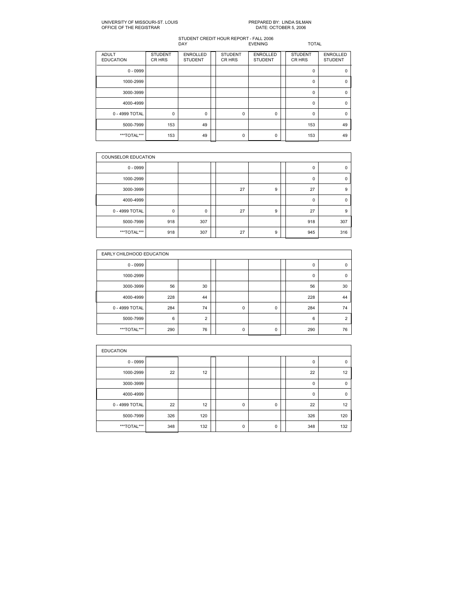# PREPARED BY: LINDA SILMAN<br>DATE: OCTOBER 5, 2006

| <b>ADULT</b><br><b>EDUCATION</b> | <b>STUDENT</b><br>CR HRS | <b>ENROLLED</b><br><b>STUDENT</b> | <b>STUDENT</b><br>CR HRS | <b>ENROLLED</b><br><b>STUDENT</b> | <b>STUDENT</b><br>CR HRS | <b>ENROLLED</b><br><b>STUDENT</b> |
|----------------------------------|--------------------------|-----------------------------------|--------------------------|-----------------------------------|--------------------------|-----------------------------------|
| $0 - 0999$                       |                          |                                   |                          |                                   | 0                        | $\Omega$                          |
| 1000-2999                        |                          |                                   |                          |                                   | 0                        | $\mathbf 0$                       |
| 3000-3999                        |                          |                                   |                          |                                   | $\Omega$                 | $\Omega$                          |
| 4000-4999                        |                          |                                   |                          |                                   | $\Omega$                 | $\Omega$                          |
| 0 - 4999 TOTAL                   | 0                        | 0                                 | 0                        | 0                                 | 0                        | $\Omega$                          |
| 5000-7999                        | 153                      | 49                                |                          |                                   | 153                      | 49                                |
| ***TOTAL***                      | 153                      | 49                                | 0                        | 0                                 | 153                      | 49                                |

|                | <b>COUNSELOR EDUCATION</b> |     |  |    |   |  |             |             |  |  |  |
|----------------|----------------------------|-----|--|----|---|--|-------------|-------------|--|--|--|
| $0 - 0999$     |                            |     |  |    |   |  | 0           | 0           |  |  |  |
| 1000-2999      |                            |     |  |    |   |  | 0           | $\mathbf 0$ |  |  |  |
| 3000-3999      |                            |     |  | 27 | 9 |  | 27          | 9           |  |  |  |
| 4000-4999      |                            |     |  |    |   |  | $\mathbf 0$ | $\Omega$    |  |  |  |
| 0 - 4999 TOTAL | $\mathbf 0$                | 0   |  | 27 | 9 |  | 27          | 9           |  |  |  |
| 5000-7999      | 918                        | 307 |  |    |   |  | 918         | 307         |  |  |  |
| ***TOTAL***    | 918                        | 307 |  | 27 | 9 |  | 945         | 316         |  |  |  |

|                | EARLY CHILDHOOD EDUCATION |                |  |   |   |  |     |                |  |  |  |
|----------------|---------------------------|----------------|--|---|---|--|-----|----------------|--|--|--|
| $0 - 0999$     |                           |                |  |   |   |  | 0   | 0              |  |  |  |
| 1000-2999      |                           |                |  |   |   |  | 0   | $\Omega$       |  |  |  |
| 3000-3999      | 56                        | 30             |  |   |   |  | 56  | 30             |  |  |  |
| 4000-4999      | 228                       | 44             |  |   |   |  | 228 | 44             |  |  |  |
| 0 - 4999 TOTAL | 284                       | 74             |  | 0 | 0 |  | 284 | 74             |  |  |  |
| 5000-7999      | 6                         | $\overline{2}$ |  |   |   |  | 6   | $\overline{2}$ |  |  |  |
| ***TOTAL***    | 290                       | 76             |  | 0 | 0 |  | 290 | 76             |  |  |  |

| <b>EDUCATION</b> |     |     |  |             |   |  |             |          |  |  |  |  |
|------------------|-----|-----|--|-------------|---|--|-------------|----------|--|--|--|--|
| $0 - 0999$       |     |     |  |             |   |  | 0           | $\Omega$ |  |  |  |  |
| 1000-2999        | 22  | 12  |  |             |   |  | 22          | 12       |  |  |  |  |
| 3000-3999        |     |     |  |             |   |  | $\mathbf 0$ | $\Omega$ |  |  |  |  |
| 4000-4999        |     |     |  |             |   |  | $\mathbf 0$ | $\Omega$ |  |  |  |  |
| 0 - 4999 TOTAL   | 22  | 12  |  | $\mathbf 0$ | 0 |  | 22          | 12       |  |  |  |  |
| 5000-7999        | 326 | 120 |  |             |   |  | 326         | 120      |  |  |  |  |
| ***TOTAL***      | 348 | 132 |  | 0           | 0 |  | 348         | 132      |  |  |  |  |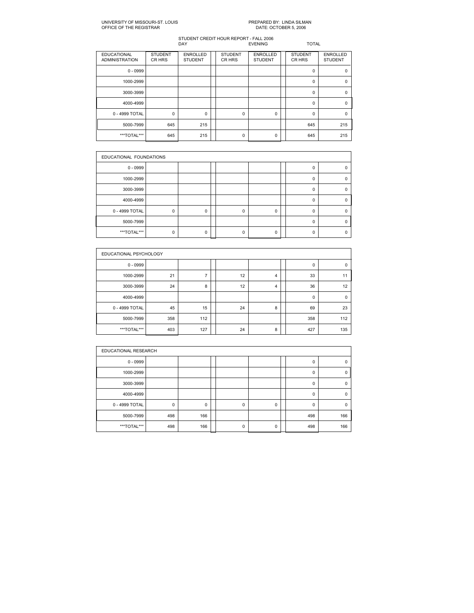# PREPARED BY: LINDA SILMAN<br>DATE: OCTOBER 5, 2006

| <b>EDUCATIONAL</b><br><b>ADMINISTRATION</b> | <b>STUDENT</b><br>CR HRS | <b>ENROLLED</b><br><b>STUDENT</b> | <b>STUDENT</b><br>CR HRS | <b>ENROLLED</b><br><b>STUDENT</b> | <b>STUDENT</b><br>CR HRS | <b>ENROLLED</b><br><b>STUDENT</b> |
|---------------------------------------------|--------------------------|-----------------------------------|--------------------------|-----------------------------------|--------------------------|-----------------------------------|
| $0 - 0999$                                  |                          |                                   |                          |                                   | $\Omega$                 | $\Omega$                          |
| 1000-2999                                   |                          |                                   |                          |                                   | 0                        | $\Omega$                          |
| 3000-3999                                   |                          |                                   |                          |                                   | $\Omega$                 | $\Omega$                          |
| 4000-4999                                   |                          |                                   |                          |                                   | $\Omega$                 | $\Omega$                          |
| 0 - 4999 TOTAL                              | 0                        | 0                                 | $\mathbf 0$              | 0                                 | $\Omega$                 | $\Omega$                          |
| 5000-7999                                   | 645                      | 215                               |                          |                                   | 645                      | 215                               |
| ***TOTAL***                                 | 645                      | 215                               | 0                        | 0                                 | 645                      | 215                               |

| EDUCATIONAL FOUNDATIONS |             |          |  |   |             |  |          |  |  |  |
|-------------------------|-------------|----------|--|---|-------------|--|----------|--|--|--|
| $0 - 0999$              |             |          |  |   |             |  | 0        |  |  |  |
| 1000-2999               |             |          |  |   |             |  | $\Omega$ |  |  |  |
| 3000-3999               |             |          |  |   |             |  | $\Omega$ |  |  |  |
| 4000-4999               |             |          |  |   |             |  | $\Omega$ |  |  |  |
| 0 - 4999 TOTAL          | $\mathbf 0$ | $\Omega$ |  | 0 | $\mathbf 0$ |  | $\Omega$ |  |  |  |
| 5000-7999               |             |          |  |   |             |  | O        |  |  |  |
| ***TOTAL***             | $\Omega$    | ŋ        |  | U | $\Omega$    |  | n        |  |  |  |

|                | EDUCATIONAL PSYCHOLOGY |     |  |    |   |  |     |             |  |  |  |  |
|----------------|------------------------|-----|--|----|---|--|-----|-------------|--|--|--|--|
| $0 - 0999$     |                        |     |  |    |   |  | 0   | $\mathbf 0$ |  |  |  |  |
| 1000-2999      | 21                     |     |  | 12 | 4 |  | 33  | 11          |  |  |  |  |
| 3000-3999      | 24                     | 8   |  | 12 | 4 |  | 36  | 12          |  |  |  |  |
| 4000-4999      |                        |     |  |    |   |  | 0   | 0           |  |  |  |  |
| 0 - 4999 TOTAL | 45                     | 15  |  | 24 | 8 |  | 69  | 23          |  |  |  |  |
| 5000-7999      | 358                    | 112 |  |    |   |  | 358 | 112         |  |  |  |  |
| ***TOTAL***    | 403                    | 127 |  | 24 | 8 |  | 427 | 135         |  |  |  |  |

|                | EDUCATIONAL RESEARCH |     |  |          |   |  |          |          |  |  |  |  |
|----------------|----------------------|-----|--|----------|---|--|----------|----------|--|--|--|--|
| $0 - 0999$     |                      |     |  |          |   |  | 0        | 0        |  |  |  |  |
| 1000-2999      |                      |     |  |          |   |  | 0        | 0        |  |  |  |  |
| 3000-3999      |                      |     |  |          |   |  | $\Omega$ | $\Omega$ |  |  |  |  |
| 4000-4999      |                      |     |  |          |   |  | 0        | $\Omega$ |  |  |  |  |
| 0 - 4999 TOTAL | $\mathbf 0$          | 0   |  | 0        | 0 |  | $\Omega$ |          |  |  |  |  |
| 5000-7999      | 498                  | 166 |  |          |   |  | 498      | 166      |  |  |  |  |
| ***TOTAL***    | 498                  | 166 |  | $\Omega$ | 0 |  | 498      | 166      |  |  |  |  |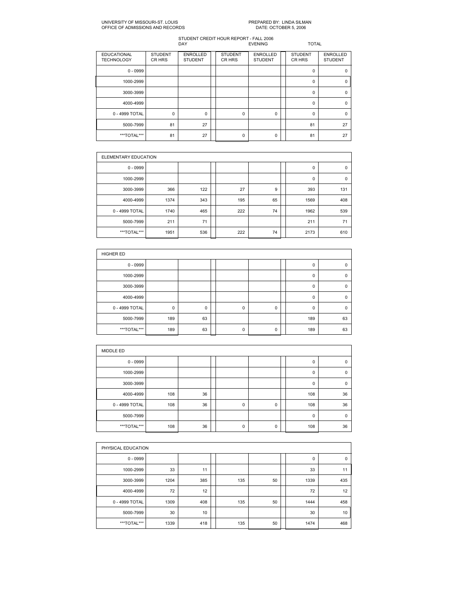#### UNIVERSITY OF MISSOURIST. LOUIS PREPARED BY: LINDA SILMAN OFFICE OF ADMISSIONS AND RECORDS

| <b>EDUCATIONAL</b><br><b>TECHNOLOGY</b> | <b>STUDENT</b><br>CR HRS | <b>ENROLLED</b><br><b>STUDENT</b> | <b>STUDENT</b><br>CR HRS | <b>ENROLLED</b><br><b>STUDENT</b> | <b>STUDENT</b><br>CR HRS | <b>ENROLLED</b><br><b>STUDENT</b> |
|-----------------------------------------|--------------------------|-----------------------------------|--------------------------|-----------------------------------|--------------------------|-----------------------------------|
| $0 - 0999$                              |                          |                                   |                          |                                   | 0                        | $\Omega$                          |
| 1000-2999                               |                          |                                   |                          |                                   | 0                        | $\mathbf 0$                       |
| 3000-3999                               |                          |                                   |                          |                                   | $\Omega$                 | $\Omega$                          |
| 4000-4999                               |                          |                                   |                          |                                   | $\Omega$                 | $\Omega$                          |
| 0 - 4999 TOTAL                          | 0                        | $\Omega$                          | 0                        | 0                                 | $\Omega$                 | $\Omega$                          |
| 5000-7999                               | 81                       | 27                                |                          |                                   | 81                       | 27                                |
| ***TOTAL***                             | 81                       | 27                                | 0                        | 0                                 | 81                       | 27                                |

|                | ELEMENTARY EDUCATION |     |  |     |    |  |      |             |  |  |  |  |
|----------------|----------------------|-----|--|-----|----|--|------|-------------|--|--|--|--|
| $0 - 0999$     |                      |     |  |     |    |  | 0    | $\mathbf 0$ |  |  |  |  |
| 1000-2999      |                      |     |  |     |    |  | 0    | $\mathbf 0$ |  |  |  |  |
| 3000-3999      | 366                  | 122 |  | 27  | 9  |  | 393  | 131         |  |  |  |  |
| 4000-4999      | 1374                 | 343 |  | 195 | 65 |  | 1569 | 408         |  |  |  |  |
| 0 - 4999 TOTAL | 1740                 | 465 |  | 222 | 74 |  | 1962 | 539         |  |  |  |  |
| 5000-7999      | 211                  | 71  |  |     |    |  | 211  | 71          |  |  |  |  |
| ***TOTAL***    | 1951                 | 536 |  | 222 | 74 |  | 2173 | 610         |  |  |  |  |

| <b>HIGHER ED</b> |     |    |  |   |             |  |          |             |  |  |
|------------------|-----|----|--|---|-------------|--|----------|-------------|--|--|
| $0 - 0999$       |     |    |  |   |             |  | 0        | 0           |  |  |
| 1000-2999        |     |    |  |   |             |  | 0        | 0           |  |  |
| 3000-3999        |     |    |  |   |             |  | $\Omega$ | $\mathbf 0$ |  |  |
| 4000-4999        |     |    |  |   |             |  | 0        | $\mathbf 0$ |  |  |
| 0 - 4999 TOTAL   | 0   | 0  |  | 0 | 0           |  | 0        | $\mathbf 0$ |  |  |
| 5000-7999        | 189 | 63 |  |   |             |  | 189      | 63          |  |  |
| ***TOTAL***      | 189 | 63 |  | 0 | $\mathbf 0$ |  | 189      | 63          |  |  |

| MIDDLE ED      |     |    |  |             |   |  |          |             |  |  |  |
|----------------|-----|----|--|-------------|---|--|----------|-------------|--|--|--|
| $0 - 0999$     |     |    |  |             |   |  | 0        | $\mathbf 0$ |  |  |  |
| 1000-2999      |     |    |  |             |   |  | 0        | $\mathbf 0$ |  |  |  |
| 3000-3999      |     |    |  |             |   |  | $\Omega$ | $\Omega$    |  |  |  |
| 4000-4999      | 108 | 36 |  |             |   |  | 108      | 36          |  |  |  |
| 0 - 4999 TOTAL | 108 | 36 |  | $\mathbf 0$ | 0 |  | 108      | 36          |  |  |  |
| 5000-7999      |     |    |  |             |   |  | $\Omega$ | $\Omega$    |  |  |  |
| ***TOTAL***    | 108 | 36 |  | $\mathbf 0$ | 0 |  | 108      | 36          |  |  |  |

|                | PHYSICAL EDUCATION |     |  |     |    |  |             |     |  |  |  |
|----------------|--------------------|-----|--|-----|----|--|-------------|-----|--|--|--|
| $0 - 0999$     |                    |     |  |     |    |  | $\mathbf 0$ | 0   |  |  |  |
| 1000-2999      | 33                 | 11  |  |     |    |  | 33          | 11  |  |  |  |
| 3000-3999      | 1204               | 385 |  | 135 | 50 |  | 1339        | 435 |  |  |  |
| 4000-4999      | 72                 | 12  |  |     |    |  | 72          | 12  |  |  |  |
| 0 - 4999 TOTAL | 1309               | 408 |  | 135 | 50 |  | 1444        | 458 |  |  |  |
| 5000-7999      | 30                 | 10  |  |     |    |  | 30          | 10  |  |  |  |
| ***TOTAL***    | 1339               | 418 |  | 135 | 50 |  | 1474        | 468 |  |  |  |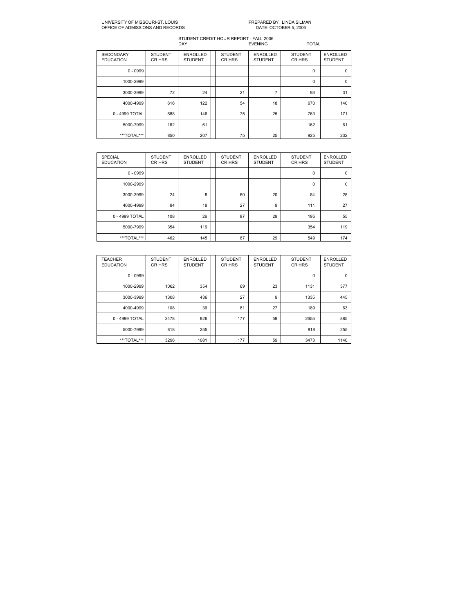#### UNIVERSITY OF MISSOURIST. LOUIS PREPARED BY: LINDA SILMAN OFFICE OF ADMISSIONS AND RECORDS

| <b>SECONDARY</b><br><b>EDUCATION</b> | <b>STUDENT</b><br>CR HRS | <b>ENROLLED</b><br><b>STUDENT</b> | <b>STUDENT</b><br>CR HRS | <b>ENROLLED</b><br><b>STUDENT</b> | <b>STUDENT</b><br>CR HRS | <b>ENROLLED</b><br><b>STUDENT</b> |
|--------------------------------------|--------------------------|-----------------------------------|--------------------------|-----------------------------------|--------------------------|-----------------------------------|
| $0 - 0999$                           |                          |                                   |                          |                                   | $\mathbf 0$              | $\mathbf 0$                       |
| 1000-2999                            |                          |                                   |                          |                                   | 0                        | $\Omega$                          |
| 3000-3999                            | 72                       | 24                                | 21                       | 7                                 | 93                       | 31                                |
| 4000-4999                            | 616                      | 122                               | 54                       | 18                                | 670                      | 140                               |
| 0 - 4999 TOTAL                       | 688                      | 146                               | 75                       | 25                                | 763                      | 171                               |
| 5000-7999                            | 162                      | 61                                |                          |                                   | 162                      | 61                                |
| ***TOTAL***                          | 850                      | 207                               | 75                       | 25                                | 925                      | 232                               |

| <b>SPECIAL</b><br><b>EDUCATION</b> | <b>STUDENT</b><br>CR HRS | <b>ENROLLED</b><br><b>STUDENT</b> | <b>STUDENT</b><br>CR HRS | <b>ENROLLED</b><br><b>STUDENT</b> | <b>STUDENT</b><br>CR HRS | <b>ENROLLED</b><br><b>STUDENT</b> |
|------------------------------------|--------------------------|-----------------------------------|--------------------------|-----------------------------------|--------------------------|-----------------------------------|
| $0 - 0999$                         |                          |                                   |                          |                                   | $\mathbf 0$              | $\mathbf 0$                       |
| 1000-2999                          |                          |                                   |                          |                                   | $\mathbf 0$              | 0                                 |
| 3000-3999                          | 24                       | 8                                 | 60                       | 20                                | 84                       | 28                                |
| 4000-4999                          | 84                       | 18                                | 27                       | 9                                 | 111                      | 27                                |
| 0 - 4999 TOTAL                     | 108                      | 26                                | 87                       | 29                                | 195                      | 55                                |
| 5000-7999                          | 354                      | 119                               |                          |                                   | 354                      | 119                               |
| ***TOTAL***                        | 462                      | 145                               | 87                       | 29                                | 549                      | 174                               |

| <b>TEACHER</b><br><b>EDUCATION</b> | <b>STUDENT</b><br>CR HRS | <b>ENROLLED</b><br><b>STUDENT</b> | <b>STUDENT</b><br>CR HRS | <b>ENROLLED</b><br><b>STUDENT</b> | <b>STUDENT</b><br>CR HRS | <b>ENROLLED</b><br><b>STUDENT</b> |
|------------------------------------|--------------------------|-----------------------------------|--------------------------|-----------------------------------|--------------------------|-----------------------------------|
| $0 - 0999$                         |                          |                                   |                          |                                   | $\mathbf 0$              | $\mathbf 0$                       |
| 1000-2999                          | 1062                     | 354                               | 69                       | 23                                | 1131                     | 377                               |
| 3000-3999                          | 1308                     | 436                               | 27                       | 9                                 | 1335                     | 445                               |
| 4000-4999                          | 108                      | 36                                | 81                       | 27                                | 189                      | 63                                |
| 0 - 4999 TOTAL                     | 2478                     | 826                               | 177                      | 59                                | 2655                     | 885                               |
| 5000-7999                          | 818                      | 255                               |                          |                                   | 818                      | 255                               |
| ***TOTAL***                        | 3296                     | 1081                              | 177                      | 59                                | 3473                     | 1140                              |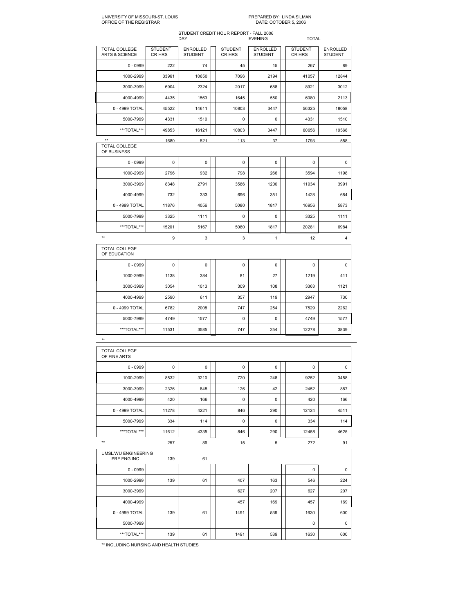## UNIVERSITY OF MISSOURIST. LOUIS PREPARED BY: LINDA SILMAN OFFICE OF THE REGISTRAR DATE: OCTOBER 5, 2006

### STUDENT CREDIT HOUR REPORT FALL 2006 DAY EVENING TOTAL

| TOTAL COLLEGE<br><b>ARTS &amp; SCIENCE</b> | <b>STUDENT</b><br>CR HRS | <b>ENROLLED</b><br><b>STUDENT</b> | <b>STUDENT</b><br>CR HRS | <b>ENROLLED</b><br><b>STUDENT</b> | <b>STUDENT</b><br>CR HRS | <b>ENROLLED</b><br><b>STUDENT</b> |
|--------------------------------------------|--------------------------|-----------------------------------|--------------------------|-----------------------------------|--------------------------|-----------------------------------|
| $0 - 0999$                                 | 222                      | 74                                | 45                       | 15                                | 267                      | 89                                |
| 1000-2999                                  | 33961                    | 10650                             | 7096                     | 2194                              | 41057                    | 12844                             |
| 3000-3999                                  | 6904                     | 2324                              | 2017                     | 688                               | 8921                     | 3012                              |
| 4000-4999                                  | 4435                     | 1563                              | 1645                     | 550                               | 6080                     | 2113                              |
| 0 - 4999 TOTAL                             | 45522                    | 14611                             | 10803                    | 3447                              | 56325                    | 18058                             |
| 5000-7999                                  | 4331                     | 1510                              | 0                        | 0                                 | 4331                     | 1510                              |
| ***TOTAL***                                | 49853                    | 16121                             | 10803                    | 3447                              | 60656                    | 19568                             |
| $**$                                       | 1680                     | 521                               | 113                      | 37                                | 1793                     | 558                               |

| <b>TOTAL COLLEGE</b><br>OF BUSINESS  |             |          |      |      |             |             |
|--------------------------------------|-------------|----------|------|------|-------------|-------------|
| $0 - 0999$                           | $\mathbf 0$ | 0        | 0    | 0    | $\mathbf 0$ | $\mathbf 0$ |
| 1000-2999                            | 2796        | 932      | 798  | 266  | 3594        | 1198        |
| 3000-3999                            | 8348        | 2791     | 3586 | 1200 | 11934       | 3991        |
| 4000-4999                            | 732         | 333      | 696  | 351  | 1428        | 684         |
| 0 - 4999 TOTAL                       | 11876       | 4056     | 5080 | 1817 | 16956       | 5873        |
| 5000-7999                            | 3325        | 1111     | 0    | 0    | 3325        | 1111        |
| ***TOTAL***                          | 15201       | 5167     | 5080 | 1817 | 20281       | 6984        |
| $**$                                 | 9           | 3        | 3    | 1    | 12          | 4           |
| <b>TOTAL COLLEGE</b><br>OF EDUCATION |             |          |      |      |             |             |
| $0 - 0999$                           | $\mathbf 0$ | $\Omega$ | 0    | 0    | $\mathbf 0$ | $\Omega$    |
| 1000-2999                            | 1138        | 384      | 81   | 27   | 1219        | 411         |

| 1000-2999      | 1138  | 384  | 81  | 27  | 1219  | 411  |
|----------------|-------|------|-----|-----|-------|------|
| 3000-3999      | 3054  | 1013 | 309 | 108 | 3363  | 1121 |
| 4000-4999      | 2590  | 611  | 357 | 119 | 2947  | 730  |
| 0 - 4999 TOTAL | 6782  | 2008 | 747 | 254 | 7529  | 2262 |
| 5000-7999      | 4749  | 1577 | 0   | 0   | 4749  | 1577 |
| ***TOTAL***    | 11531 | 3585 | 747 | 254 | 12278 | 3839 |

| TOTAL COLLEGE<br>OF FINE ARTS      |             |      |             |     |             |             |
|------------------------------------|-------------|------|-------------|-----|-------------|-------------|
| $0 - 0999$                         | $\mathbf 0$ | 0    | $\mathbf 0$ | 0   | $\mathbf 0$ | $\mathbf 0$ |
| 1000-2999                          | 8532        | 3210 | 720         | 248 | 9252        | 3458        |
| 3000-3999                          | 2326        | 845  | 126         | 42  | 2452        | 887         |
| 4000-4999                          | 420         | 166  | $\mathbf 0$ | 0   | 420         | 166         |
| 0 - 4999 TOTAL                     | 11278       | 4221 | 846         | 290 | 12124       | 4511        |
| 5000-7999                          | 334         | 114  | $\mathbf 0$ | 0   | 334         | 114         |
| ***TOTAL***                        | 11612       | 4335 | 846         | 290 | 12458       | 4625        |
| $**$                               | 257         | 86   | 15          | 5   | 272         | 91          |
| UMSL/WU ENGINEERING<br>PRE ENG INC | 139         | 61   |             |     |             |             |
| $0 - 0999$                         |             |      |             |     | $\mathbf 0$ | $\mathbf 0$ |
| 1000-2999                          | 139         | 61   | 407         | 163 | 546         | 224         |
| 3000-3999                          |             |      | 627         | 207 | 627         | 207         |
| 4000-4999                          |             |      | 457         | 169 | 457         | 169         |
| 0 - 4999 TOTAL                     | 139         | 61   | 1491        | 539 | 1630        | 600         |
| 5000-7999                          |             |      |             |     | $\mathbf 0$ | $\mathbf 0$ |
| ***TOTAL***                        | 139         | 61   | 1491        | 539 | 1630        | 600         |

\*\* INCLUDING NURSING AND HEALTH STUDIES

\*\*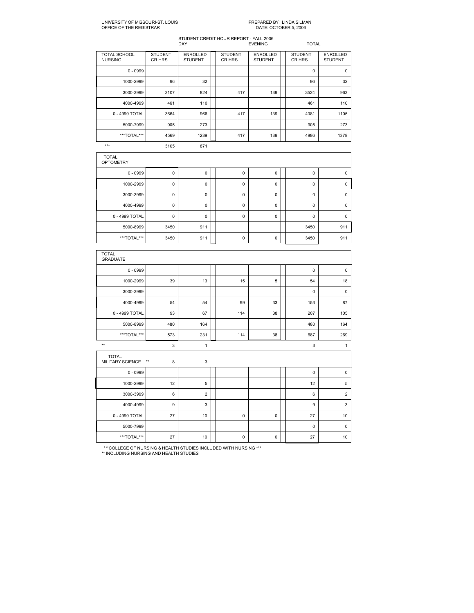# PREPARED BY: LINDA SILMAN<br>DATE: OCTOBER 5, 2006

### STUDENT CREDIT HOUR REPORT FALL 2006 DAY EVENING TOTAL

| <b>TOTAL SCHOOL</b><br><b>NURSING</b> | <b>STUDENT</b><br>CR HRS | <b>ENROLLED</b><br><b>STUDENT</b> | <b>STUDENT</b><br>CR HRS | <b>ENROLLED</b><br><b>STUDENT</b> | <b>STUDENT</b><br>CR HRS | <b>ENROLLED</b><br><b>STUDENT</b> |
|---------------------------------------|--------------------------|-----------------------------------|--------------------------|-----------------------------------|--------------------------|-----------------------------------|
| $0 - 0999$                            |                          |                                   |                          |                                   | $\mathbf 0$              | $\mathbf 0$                       |
| 1000-2999                             | 96                       | 32                                |                          |                                   | 96                       | 32                                |
| 3000-3999                             | 3107                     | 824                               | 417                      | 139                               | 3524                     | 963                               |
| 4000-4999                             | 461                      | 110                               |                          |                                   | 461                      | 110                               |
| 0 - 4999 TOTAL                        | 3664                     | 966                               | 417                      | 139                               | 4081                     | 1105                              |
| 5000-7999                             | 905                      | 273                               |                          |                                   | 905                      | 273                               |
| ***TOTAL***                           | 4569                     | 1239                              | 417                      | 139                               | 4986                     | 1378                              |

\*\*\* 3105 871

| <b>TOTAL</b><br><b>OPTOMETRY</b> |             |     |             |   |             |          |
|----------------------------------|-------------|-----|-------------|---|-------------|----------|
| $0 - 0999$                       | 0           | 0   | 0           | 0 | $\mathbf 0$ | 0        |
| 1000-2999                        | 0           | 0   | $\mathbf 0$ | 0 | $\mathbf 0$ | 0        |
| 3000-3999                        | 0           | 0   | $\mathbf 0$ | 0 | $\mathbf 0$ | $\Omega$ |
| 4000-4999                        | 0           | 0   | $\mathbf 0$ | 0 | $\mathbf 0$ | $\Omega$ |
| 0 - 4999 TOTAL                   | $\mathbf 0$ | 0   | $\mathbf 0$ | 0 | $\Omega$    | $\Omega$ |
| 5000-8999                        | 3450        | 911 |             |   | 3450        | 911      |
| ***TOTAL***                      | 3450        | 911 | 0           | 0 | 3450        | 911      |

| <b>TOTAL</b><br><b>GRADUATE</b>               |     |                |  |             |             |  |             |                |
|-----------------------------------------------|-----|----------------|--|-------------|-------------|--|-------------|----------------|
| $0 - 0999$                                    |     |                |  |             |             |  | $\mathbf 0$ | $\pmb{0}$      |
| 1000-2999                                     | 39  | 13             |  | 15          | 5           |  | 54          | 18             |
| 3000-3999                                     |     |                |  |             |             |  | $\mathbf 0$ | $\pmb{0}$      |
| 4000-4999                                     | 54  | 54             |  | 99          | 33          |  | 153         | 87             |
| 0 - 4999 TOTAL                                | 93  | 67             |  | 114         | 38          |  | 207         | 105            |
| 5000-8999                                     | 480 | 164            |  |             |             |  | 480         | 164            |
| ***TOTAL***                                   | 573 | 231            |  | 114         | 38          |  | 687         | 269            |
| $**$                                          | 3   | $\mathbf{1}$   |  |             |             |  | 3           | 1              |
| <b>TOTAL</b><br>MILITARY SCIENCE **<br>3<br>8 |     |                |  |             |             |  |             |                |
| $0 - 0999$                                    |     |                |  |             |             |  | $\mathbf 0$ | $\pmb{0}$      |
| 1000-2999                                     | 12  | 5              |  |             |             |  | 12          | 5              |
| 3000-3999                                     | 6   | $\overline{2}$ |  |             |             |  | 6           | $\overline{2}$ |
| 4000-4999                                     | 9   | 3              |  |             |             |  | 9           | 3              |
| 0 - 4999 TOTAL                                | 27  | 10             |  | 0           | $\pmb{0}$   |  | 27          | 10             |
| 5000-7999                                     |     |                |  |             |             |  | $\mathbf 0$ | $\mathbf 0$    |
| ***TOTAL***                                   | 27  | 10             |  | $\mathbf 0$ | $\mathsf 0$ |  | 27          | 10             |

\*\*\*COLLEGE OF NURSING & HEALTH STUDIES INCLUDED WITH NURSING \*\*\* \*\* INCLUDING NURSING AND HEALTH STUDIES